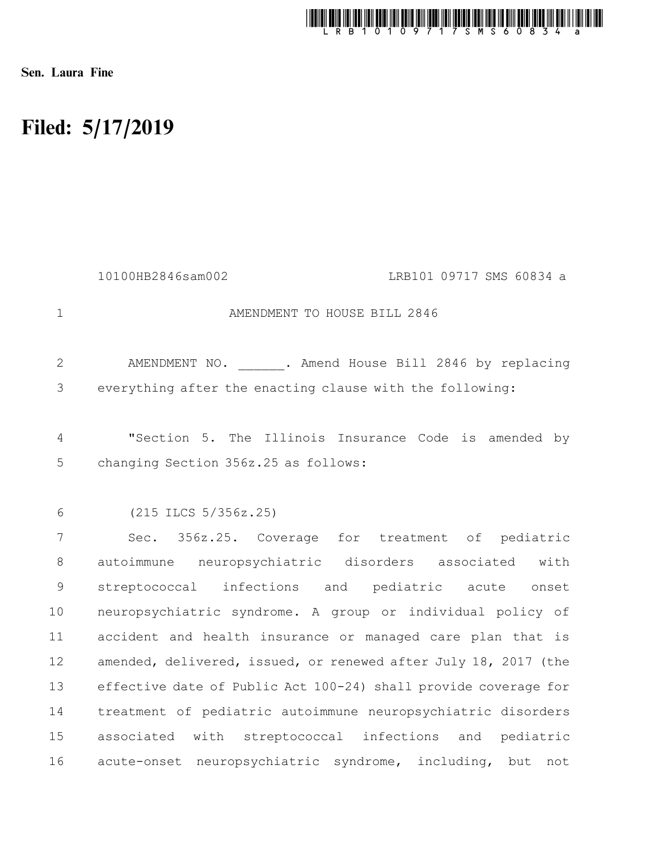

Sen. Laura Fine

## Filed: 5/17/2019

AMENDMENT TO HOUSE BILL 2846 AMENDMENT NO. . Amend House Bill 2846 by replacing everything after the enacting clause with the following: "Section 5. The Illinois Insurance Code is amended by changing Section 356z.25 as follows: (215 ILCS 5/356z.25) Sec. 356z.25. Coverage for treatment of pediatric autoimmune neuropsychiatric disorders associated with streptococcal infections and pediatric acute onset neuropsychiatric syndrome. A group or individual policy of accident and health insurance or managed care plan that is amended, delivered, issued, or renewed after July 18, 2017 (the effective date of Public Act 100-24) shall provide coverage for treatment of pediatric autoimmune neuropsychiatric disorders associated with streptococcal infections and pediatric acute-onset neuropsychiatric syndrome, including, but not 1 2 3 4 5 6 7 8 9 10 11 12 13 14 15 16 10100HB2846sam002 LRB101 09717 SMS 60834 a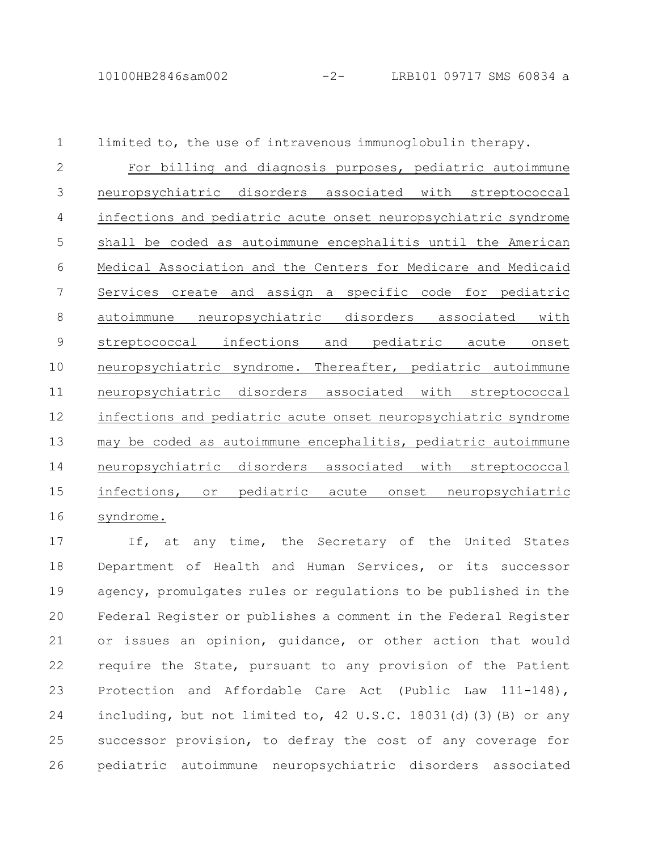limited to, the use of intravenous immunoglobulin therapy. For billing and diagnosis purposes, pediatric autoimmune neuropsychiatric disorders associated with streptococcal infections and pediatric acute onset neuropsychiatric syndrome shall be coded as autoimmune encephalitis until the American Medical Association and the Centers for Medicare and Medicaid Services create and assign a specific code for pediatric autoimmune neuropsychiatric disorders associated with streptococcal infections and pediatric acute onset neuropsychiatric syndrome. Thereafter, pediatric autoimmune neuropsychiatric disorders associated with streptococcal infections and pediatric acute onset neuropsychiatric syndrome may be coded as autoimmune encephalitis, pediatric autoimmune neuropsychiatric disorders associated with streptococcal infections, or pediatric acute onset neuropsychiatric syndrome. 1 2 3 4 5 6 7 8 9 10 11 12 13 14 15 16

If, at any time, the Secretary of the United States Department of Health and Human Services, or its successor agency, promulgates rules or regulations to be published in the Federal Register or publishes a comment in the Federal Register or issues an opinion, guidance, or other action that would require the State, pursuant to any provision of the Patient Protection and Affordable Care Act (Public Law 111-148), including, but not limited to, 42 U.S.C. 18031(d)(3)(B) or any successor provision, to defray the cost of any coverage for pediatric autoimmune neuropsychiatric disorders associated 17 18 19 20 21 22 23 24 25 26